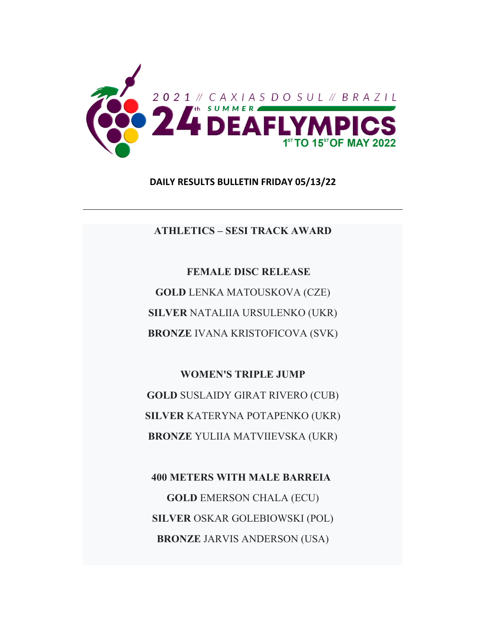

**DAILY RESULTS BULLETIN FRIDAY 05/13/22**

**ATHLETICS – SESI TRACK AWARD** 

 **FEMALE DISC RELEASE GOLD** LENKA MATOUSKOVA (CZE) **SILVER** NATALIIA URSULENKO (UKR) **BRONZE** IVANA KRISTOFICOVA (SVK)

**WOMEN'S TRIPLE JUMP GOLD** SUSLAIDY GIRAT RIVERO (CUB) **SILVER** KATERYNA POTAPENKO (UKR) **BRONZE** YULIIA MATVIIEVSKA (UKR)

**400 METERS WITH MALE BARREIA GOLD** EMERSON CHALA (ECU) **SILVER** OSKAR GOLEBIOWSKI (POL) **BRONZE** JARVIS ANDERSON (USA)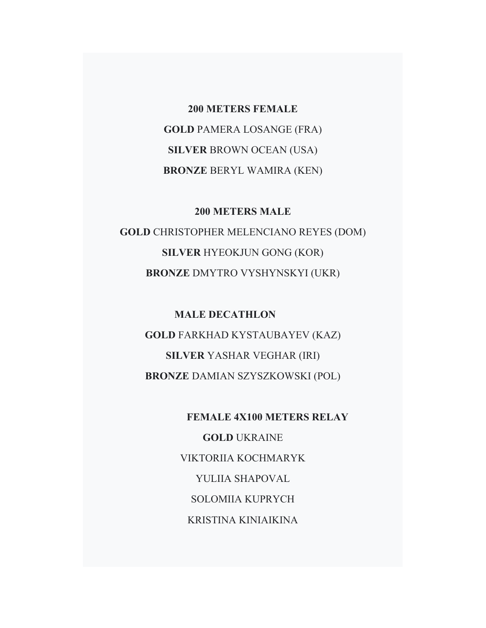**200 METERS FEMALE GOLD** PAMERA LOSANGE (FRA) **SILVER** BROWN OCEAN (USA) **BRONZE** BERYL WAMIRA (KEN)

# **200 METERS MALE**

**GOLD** CHRISTOPHER MELENCIANO REYES (DOM) **SILVER** HYEOKJUN GONG (KOR) **BRONZE** DMYTRO VYSHYNSKYI (UKR)

**MALE DECATHLON GOLD** FARKHAD KYSTAUBAYEV (KAZ) **SILVER** YASHAR VEGHAR (IRI) **BRONZE** DAMIAN SZYSZKOWSKI (POL)

> **FEMALE 4X100 METERS RELAY GOLD** UKRAINE VIKTORIIA KOCHMARYK YULIIA SHAPOVAL SOLOMIIA KUPRYCH KRISTINA KINIAIKINA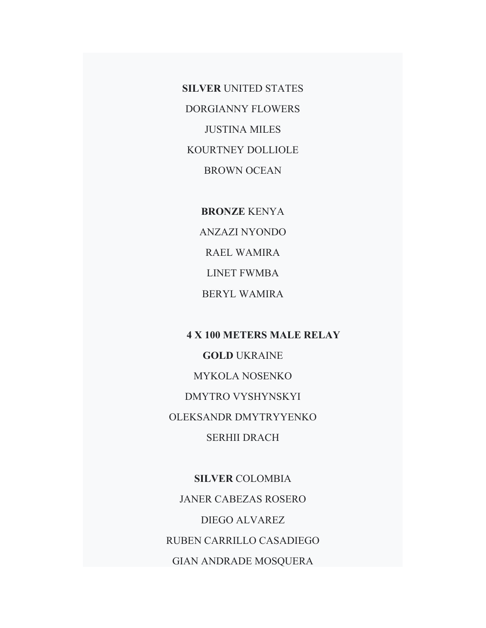**SILVER** UNITED STATES DORGIANNY FLOWERS JUSTINA MILES KOURTNEY DOLLIOLE BROWN OCEAN

> **BRONZE** KENYA ANZAZI NYONDO RAEL WAMIRA LINET FWMBA BERYL WAMIRA

 **4 X 100 METERS MALE RELAY GOLD** UKRAINE MYKOLA NOSENKO DMYTRO VYSHYNSKYI OLEKSANDR DMYTRYYENKO SERHII DRACH

**SILVER** COLOMBIA JANER CABEZAS ROSERO DIEGO ALVAREZ RUBEN CARRILLO CASADIEGO GIAN ANDRADE MOSQUERA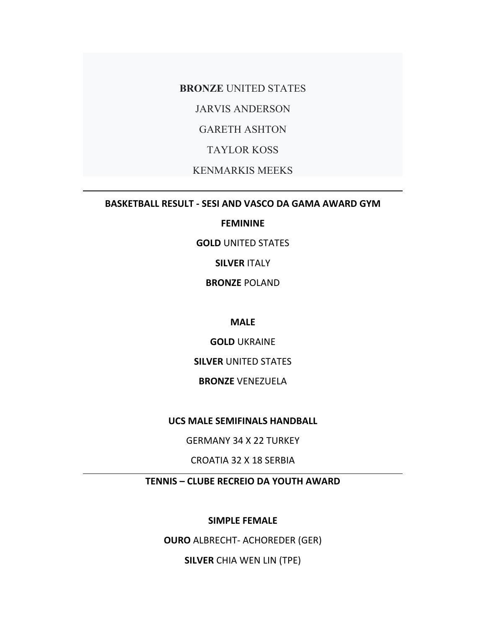**BRONZE** UNITED STATES

JARVIS ANDERSON

GARETH ASHTON

TAYLOR KOSS

KENMARKIS MEEKS

**BASKETBALL RESULT ‐ SESI AND VASCO DA GAMA AWARD GYM**

## **FEMININE**

**GOLD** UNITED STATES

**SILVER** ITALY

**BRONZE** POLAND

**MALE**

**GOLD** UKRAINE

**SILVER** UNITED STATES

**BRONZE** VENEZUELA

**UCS MALE SEMIFINALS HANDBALL**

GERMANY 34 X 22 TURKEY

CROATIA 32 X 18 SERBIA

**TENNIS – CLUBE RECREIO DA YOUTH AWARD**

**SIMPLE FEMALE**

**OURO** ALBRECHT‐ ACHOREDER (GER)

**SILVER** CHIA WEN LIN (TPE)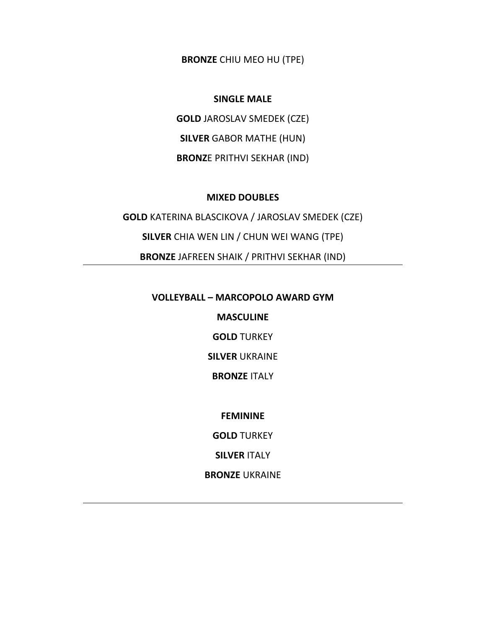**BRONZE** CHIU MEO HU (TPE)

### **SINGLE MALE**

**GOLD** JAROSLAV SMEDEK (CZE)

**SILVER** GABOR MATHE (HUN)

**BRONZ**E PRITHVI SEKHAR (IND)

### **MIXED DOUBLES**

**GOLD** KATERINA BLASCIKOVA / JAROSLAV SMEDEK (CZE) **SILVER** CHIA WEN LIN / CHUN WEI WANG (TPE) **BRONZE** JAFREEN SHAIK / PRITHVI SEKHAR (IND)

#### **VOLLEYBALL – MARCOPOLO AWARD GYM**

**MASCULINE**

**GOLD** TURKEY

**SILVER** UKRAINE

**BRONZE** ITALY

**FEMININE**

**GOLD** TURKEY

**SILVER** ITALY

**BRONZE** UKRAINE